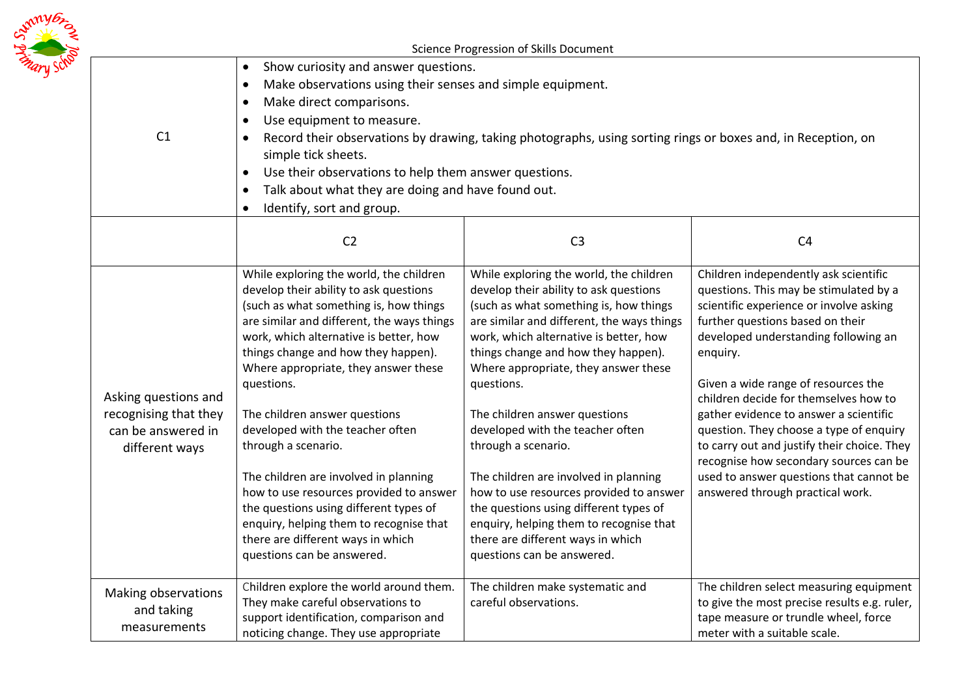|  | Science Progression of Skills Document                                                |                                                                                                                                                                                                                                                                                                                                                                                                                                                                                                                                                                                                                                                          |                                                                                                                                                                                                                                                                                                                                                                                                                                                                                                                                                                                                                                                          |                                                                                                                                                                                                                                                                                                                                                                                                                                                                                                                                                                 |  |
|--|---------------------------------------------------------------------------------------|----------------------------------------------------------------------------------------------------------------------------------------------------------------------------------------------------------------------------------------------------------------------------------------------------------------------------------------------------------------------------------------------------------------------------------------------------------------------------------------------------------------------------------------------------------------------------------------------------------------------------------------------------------|----------------------------------------------------------------------------------------------------------------------------------------------------------------------------------------------------------------------------------------------------------------------------------------------------------------------------------------------------------------------------------------------------------------------------------------------------------------------------------------------------------------------------------------------------------------------------------------------------------------------------------------------------------|-----------------------------------------------------------------------------------------------------------------------------------------------------------------------------------------------------------------------------------------------------------------------------------------------------------------------------------------------------------------------------------------------------------------------------------------------------------------------------------------------------------------------------------------------------------------|--|
|  | C1                                                                                    | Show curiosity and answer questions.<br>$\bullet$<br>Make observations using their senses and simple equipment.<br>Make direct comparisons.<br>$\bullet$<br>Use equipment to measure.<br>Record their observations by drawing, taking photographs, using sorting rings or boxes and, in Reception, on<br>$\bullet$<br>simple tick sheets.<br>Use their observations to help them answer questions.<br>$\bullet$<br>Talk about what they are doing and have found out.<br>Identify, sort and group.                                                                                                                                                       |                                                                                                                                                                                                                                                                                                                                                                                                                                                                                                                                                                                                                                                          |                                                                                                                                                                                                                                                                                                                                                                                                                                                                                                                                                                 |  |
|  |                                                                                       | C <sub>2</sub>                                                                                                                                                                                                                                                                                                                                                                                                                                                                                                                                                                                                                                           | C <sub>3</sub>                                                                                                                                                                                                                                                                                                                                                                                                                                                                                                                                                                                                                                           | C <sub>4</sub>                                                                                                                                                                                                                                                                                                                                                                                                                                                                                                                                                  |  |
|  | Asking questions and<br>recognising that they<br>can be answered in<br>different ways | While exploring the world, the children<br>develop their ability to ask questions<br>(such as what something is, how things<br>are similar and different, the ways things<br>work, which alternative is better, how<br>things change and how they happen).<br>Where appropriate, they answer these<br>questions.<br>The children answer questions<br>developed with the teacher often<br>through a scenario.<br>The children are involved in planning<br>how to use resources provided to answer<br>the questions using different types of<br>enquiry, helping them to recognise that<br>there are different ways in which<br>questions can be answered. | While exploring the world, the children<br>develop their ability to ask questions<br>(such as what something is, how things<br>are similar and different, the ways things<br>work, which alternative is better, how<br>things change and how they happen).<br>Where appropriate, they answer these<br>questions.<br>The children answer questions<br>developed with the teacher often<br>through a scenario.<br>The children are involved in planning<br>how to use resources provided to answer<br>the questions using different types of<br>enquiry, helping them to recognise that<br>there are different ways in which<br>questions can be answered. | Children independently ask scientific<br>questions. This may be stimulated by a<br>scientific experience or involve asking<br>further questions based on their<br>developed understanding following an<br>enquiry.<br>Given a wide range of resources the<br>children decide for themselves how to<br>gather evidence to answer a scientific<br>question. They choose a type of enquiry<br>to carry out and justify their choice. They<br>recognise how secondary sources can be<br>used to answer questions that cannot be<br>answered through practical work. |  |
|  | Making observations<br>and taking<br>measurements                                     | Children explore the world around them.<br>They make careful observations to<br>support identification, comparison and<br>noticing change. They use appropriate                                                                                                                                                                                                                                                                                                                                                                                                                                                                                          | The children make systematic and<br>careful observations.                                                                                                                                                                                                                                                                                                                                                                                                                                                                                                                                                                                                | The children select measuring equipment<br>to give the most precise results e.g. ruler,<br>tape measure or trundle wheel, force<br>meter with a suitable scale.                                                                                                                                                                                                                                                                                                                                                                                                 |  |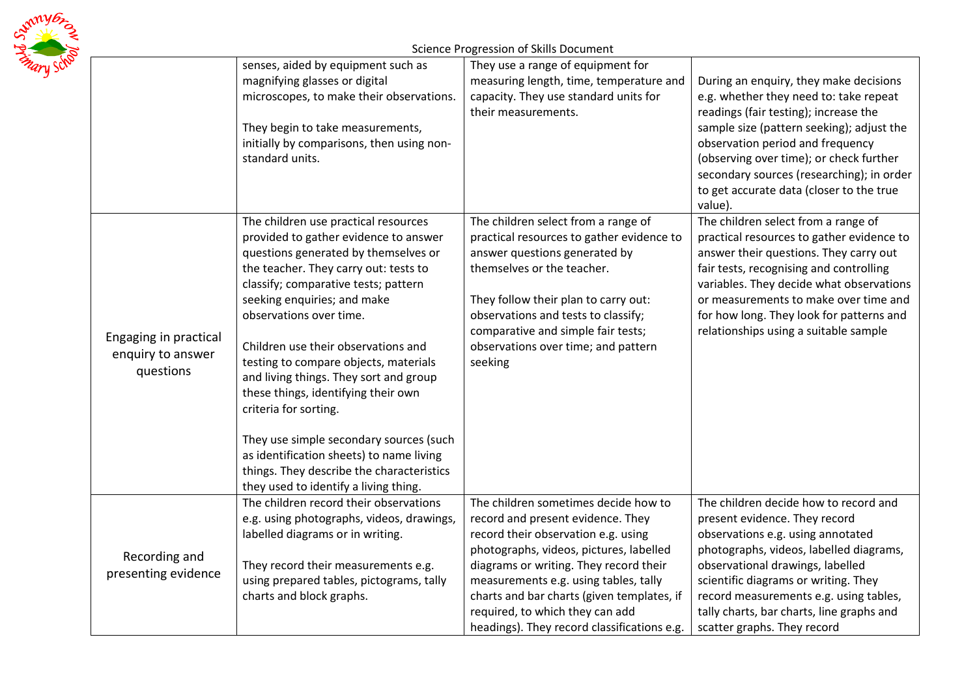|  |                                                         | senses, aided by equipment such as<br>magnifying glasses or digital<br>microscopes, to make their observations.<br>They begin to take measurements,<br>initially by comparisons, then using non-<br>standard units.                                                                                                                                                                                                                                                                                                                                                                                                                     | Science Progression of Skills Document<br>They use a range of equipment for<br>measuring length, time, temperature and<br>capacity. They use standard units for<br>their measurements.                                                                                                                                                                                         | During an enquiry, they make decisions<br>e.g. whether they need to: take repeat<br>readings (fair testing); increase the<br>sample size (pattern seeking); adjust the<br>observation period and frequency<br>(observing over time); or check further<br>secondary sources (researching); in order<br>to get accurate data (closer to the true<br>value). |  |
|--|---------------------------------------------------------|-----------------------------------------------------------------------------------------------------------------------------------------------------------------------------------------------------------------------------------------------------------------------------------------------------------------------------------------------------------------------------------------------------------------------------------------------------------------------------------------------------------------------------------------------------------------------------------------------------------------------------------------|--------------------------------------------------------------------------------------------------------------------------------------------------------------------------------------------------------------------------------------------------------------------------------------------------------------------------------------------------------------------------------|-----------------------------------------------------------------------------------------------------------------------------------------------------------------------------------------------------------------------------------------------------------------------------------------------------------------------------------------------------------|--|
|  | Engaging in practical<br>enquiry to answer<br>questions | The children use practical resources<br>provided to gather evidence to answer<br>questions generated by themselves or<br>the teacher. They carry out: tests to<br>classify; comparative tests; pattern<br>seeking enquiries; and make<br>observations over time.<br>Children use their observations and<br>testing to compare objects, materials<br>and living things. They sort and group<br>these things, identifying their own<br>criteria for sorting.<br>They use simple secondary sources (such<br>as identification sheets) to name living<br>things. They describe the characteristics<br>they used to identify a living thing. | The children select from a range of<br>practical resources to gather evidence to<br>answer questions generated by<br>themselves or the teacher.<br>They follow their plan to carry out:<br>observations and tests to classify;<br>comparative and simple fair tests;<br>observations over time; and pattern<br>seeking                                                         | The children select from a range of<br>practical resources to gather evidence to<br>answer their questions. They carry out<br>fair tests, recognising and controlling<br>variables. They decide what observations<br>or measurements to make over time and<br>for how long. They look for patterns and<br>relationships using a suitable sample           |  |
|  | Recording and<br>presenting evidence                    | The children record their observations<br>e.g. using photographs, videos, drawings,<br>labelled diagrams or in writing.<br>They record their measurements e.g.<br>using prepared tables, pictograms, tally<br>charts and block graphs.                                                                                                                                                                                                                                                                                                                                                                                                  | The children sometimes decide how to<br>record and present evidence. They<br>record their observation e.g. using<br>photographs, videos, pictures, labelled<br>diagrams or writing. They record their<br>measurements e.g. using tables, tally<br>charts and bar charts (given templates, if<br>required, to which they can add<br>headings). They record classifications e.g. | The children decide how to record and<br>present evidence. They record<br>observations e.g. using annotated<br>photographs, videos, labelled diagrams,<br>observational drawings, labelled<br>scientific diagrams or writing. They<br>record measurements e.g. using tables,<br>tally charts, bar charts, line graphs and<br>scatter graphs. They record  |  |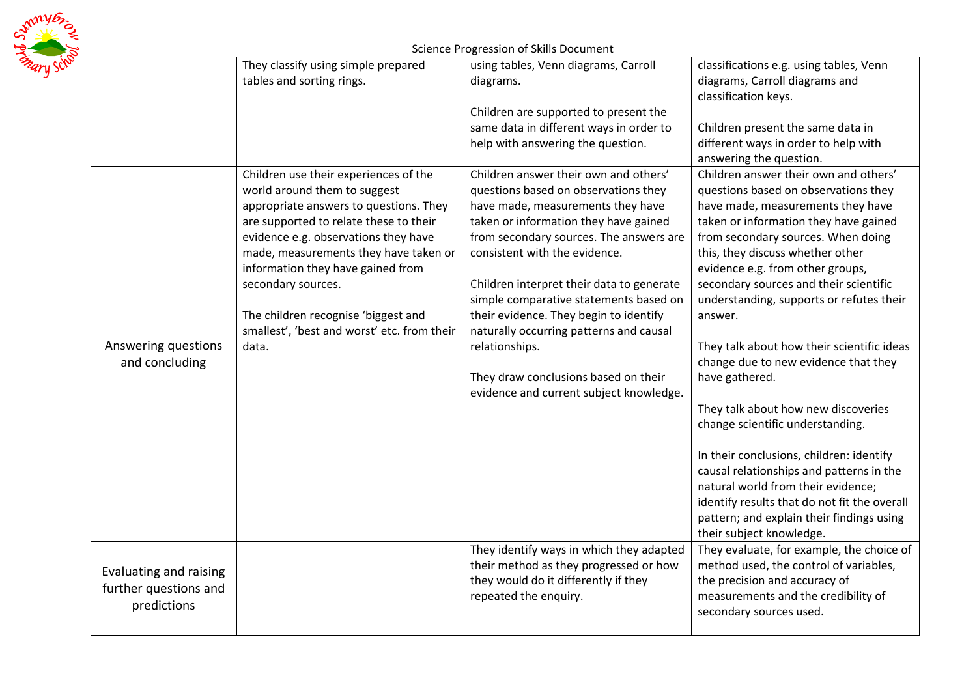

## Science Progression of Skills Document

|                        | They classify using simple prepared         | using tables, Venn diagrams, Carroll                                             | classifications e.g. using tables, Venn                         |
|------------------------|---------------------------------------------|----------------------------------------------------------------------------------|-----------------------------------------------------------------|
|                        | tables and sorting rings.                   | diagrams.                                                                        | diagrams, Carroll diagrams and<br>classification keys.          |
|                        |                                             | Children are supported to present the                                            |                                                                 |
|                        |                                             | same data in different ways in order to                                          | Children present the same data in                               |
|                        |                                             | help with answering the question.                                                | different ways in order to help with<br>answering the question. |
|                        | Children use their experiences of the       | Children answer their own and others'                                            | Children answer their own and others'                           |
|                        | world around them to suggest                | questions based on observations they                                             | questions based on observations they                            |
|                        | appropriate answers to questions. They      | have made, measurements they have                                                | have made, measurements they have                               |
|                        | are supported to relate these to their      | taken or information they have gained                                            | taken or information they have gained                           |
|                        | evidence e.g. observations they have        | from secondary sources. The answers are                                          | from secondary sources. When doing                              |
|                        | made, measurements they have taken or       | consistent with the evidence.                                                    | this, they discuss whether other                                |
|                        | information they have gained from           |                                                                                  | evidence e.g. from other groups,                                |
|                        | secondary sources.                          | Children interpret their data to generate                                        | secondary sources and their scientific                          |
|                        | The children recognise 'biggest and         | simple comparative statements based on<br>their evidence. They begin to identify | understanding, supports or refutes their<br>answer.             |
|                        | smallest', 'best and worst' etc. from their | naturally occurring patterns and causal                                          |                                                                 |
| Answering questions    | data.                                       | relationships.                                                                   | They talk about how their scientific ideas                      |
| and concluding         |                                             |                                                                                  | change due to new evidence that they                            |
|                        |                                             | They draw conclusions based on their                                             | have gathered.                                                  |
|                        |                                             | evidence and current subject knowledge.                                          |                                                                 |
|                        |                                             |                                                                                  | They talk about how new discoveries                             |
|                        |                                             |                                                                                  | change scientific understanding.                                |
|                        |                                             |                                                                                  |                                                                 |
|                        |                                             |                                                                                  | In their conclusions, children: identify                        |
|                        |                                             |                                                                                  | causal relationships and patterns in the                        |
|                        |                                             |                                                                                  | natural world from their evidence;                              |
|                        |                                             |                                                                                  | identify results that do not fit the overall                    |
|                        |                                             |                                                                                  | pattern; and explain their findings using                       |
|                        |                                             |                                                                                  | their subject knowledge.                                        |
|                        |                                             | They identify ways in which they adapted                                         | They evaluate, for example, the choice of                       |
| Evaluating and raising |                                             | their method as they progressed or how                                           | method used, the control of variables,                          |
| further questions and  |                                             | they would do it differently if they                                             | the precision and accuracy of                                   |
| predictions            |                                             | repeated the enquiry.                                                            | measurements and the credibility of                             |
|                        |                                             |                                                                                  | secondary sources used.                                         |
|                        |                                             |                                                                                  |                                                                 |